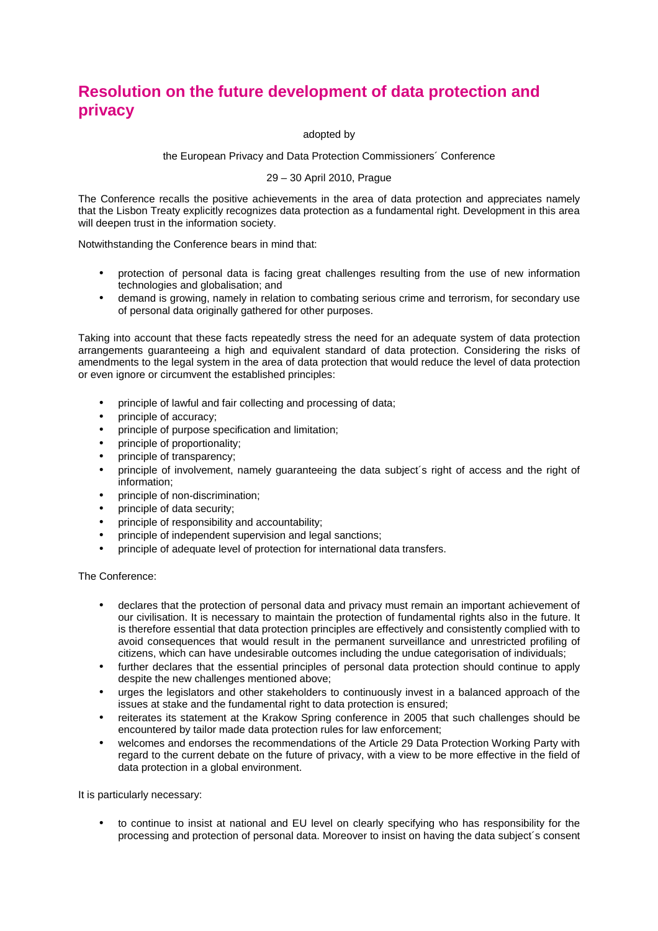## **Resolution on the future development of data protection and privacy**

## adopted by

## the European Privacy and Data Protection Commissioners´ Conference

## 29 – 30 April 2010, Prague

The Conference recalls the positive achievements in the area of data protection and appreciates namely that the Lisbon Treaty explicitly recognizes data protection as a fundamental right. Development in this area will deepen trust in the information society.

Notwithstanding the Conference bears in mind that:

- protection of personal data is facing great challenges resulting from the use of new information technologies and globalisation; and
- demand is growing, namely in relation to combating serious crime and terrorism, for secondary use of personal data originally gathered for other purposes.

Taking into account that these facts repeatedly stress the need for an adequate system of data protection arrangements guaranteeing a high and equivalent standard of data protection. Considering the risks of amendments to the legal system in the area of data protection that would reduce the level of data protection or even ignore or circumvent the established principles:

- principle of lawful and fair collecting and processing of data;
- principle of accuracy;
- principle of purpose specification and limitation;
- principle of proportionality;
- principle of transparency;
- principle of involvement, namely guaranteeing the data subject´s right of access and the right of information;
- principle of non-discrimination;
- principle of data security;
- principle of responsibility and accountability;
- principle of independent supervision and legal sanctions;
- principle of adequate level of protection for international data transfers.

The Conference:

- declares that the protection of personal data and privacy must remain an important achievement of our civilisation. It is necessary to maintain the protection of fundamental rights also in the future. It is therefore essential that data protection principles are effectively and consistently complied with to avoid consequences that would result in the permanent surveillance and unrestricted profiling of citizens, which can have undesirable outcomes including the undue categorisation of individuals;
- further declares that the essential principles of personal data protection should continue to apply despite the new challenges mentioned above;
- urges the legislators and other stakeholders to continuously invest in a balanced approach of the issues at stake and the fundamental right to data protection is ensured;
- reiterates its statement at the Krakow Spring conference in 2005 that such challenges should be encountered by tailor made data protection rules for law enforcement;
- welcomes and endorses the recommendations of the Article 29 Data Protection Working Party with regard to the current debate on the future of privacy, with a view to be more effective in the field of data protection in a global environment.

It is particularly necessary:

• to continue to insist at national and EU level on clearly specifying who has responsibility for the processing and protection of personal data. Moreover to insist on having the data subject´s consent